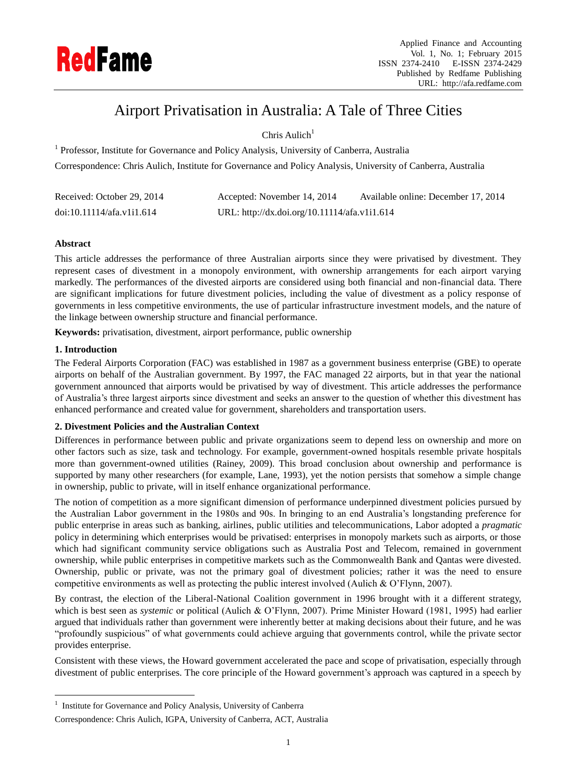

# Airport Privatisation in Australia: A Tale of Three Cities

Chris Aulich $1$ 

<sup>1</sup> Professor, Institute for Governance and Policy Analysis, University of Canberra, Australia Correspondence: Chris Aulich, Institute for Governance and Policy Analysis, University of Canberra, Australia

| Received: October 29, 2014 | Accepted: November 14, 2014                  | Available online: December 17, 2014 |
|----------------------------|----------------------------------------------|-------------------------------------|
| doi:10.11114/afa.v1i1.614  | URL: http://dx.doi.org/10.11114/afa.v1i1.614 |                                     |

# **Abstract**

This article addresses the performance of three Australian airports since they were privatised by divestment. They represent cases of divestment in a monopoly environment, with ownership arrangements for each airport varying markedly. The performances of the divested airports are considered using both financial and non-financial data. There are significant implications for future divestment policies, including the value of divestment as a policy response of governments in less competitive environments, the use of particular infrastructure investment models, and the nature of the linkage between ownership structure and financial performance.

**Keywords:** privatisation, divestment, airport performance, public ownership

## **1. Introduction**

1

The Federal Airports Corporation (FAC) was established in 1987 as a government business enterprise (GBE) to operate airports on behalf of the Australian government. By 1997, the FAC managed 22 airports, but in that year the national government announced that airports would be privatised by way of divestment. This article addresses the performance of Australia"s three largest airports since divestment and seeks an answer to the question of whether this divestment has enhanced performance and created value for government, shareholders and transportation users.

# **2. Divestment Policies and the Australian Context**

Differences in performance between public and private organizations seem to depend less on ownership and more on other factors such as size, task and technology. For example, government-owned hospitals resemble private hospitals more than government-owned utilities (Rainey, 2009). This broad conclusion about ownership and performance is supported by many other researchers (for example, Lane, 1993), yet the notion persists that somehow a simple change in ownership, public to private, will in itself enhance organizational performance.

The notion of competition as a more significant dimension of performance underpinned divestment policies pursued by the Australian Labor government in the 1980s and 90s. In bringing to an end Australia"s longstanding preference for public enterprise in areas such as banking, airlines, public utilities and telecommunications, Labor adopted a *pragmatic* policy in determining which enterprises would be privatised: enterprises in monopoly markets such as airports, or those which had significant community service obligations such as Australia Post and Telecom, remained in government ownership, while public enterprises in competitive markets such as the Commonwealth Bank and Qantas were divested. Ownership, public or private, was not the primary goal of divestment policies; rather it was the need to ensure competitive environments as well as protecting the public interest involved (Aulich & O"Flynn, 2007).

By contrast, the election of the Liberal-National Coalition government in 1996 brought with it a different strategy, which is best seen as *systemic* or political (Aulich & O'Flynn, 2007). Prime Minister Howard (1981, 1995) had earlier argued that individuals rather than government were inherently better at making decisions about their future, and he was "profoundly suspicious" of what governments could achieve arguing that governments control, while the private sector provides enterprise.

Consistent with these views, the Howard government accelerated the pace and scope of privatisation, especially through divestment of public enterprises. The core principle of the Howard government"s approach was captured in a speech by

<sup>&</sup>lt;sup>1</sup> Institute for Governance and Policy Analysis, University of Canberra

Correspondence: Chris Aulich, IGPA, University of Canberra, ACT, Australia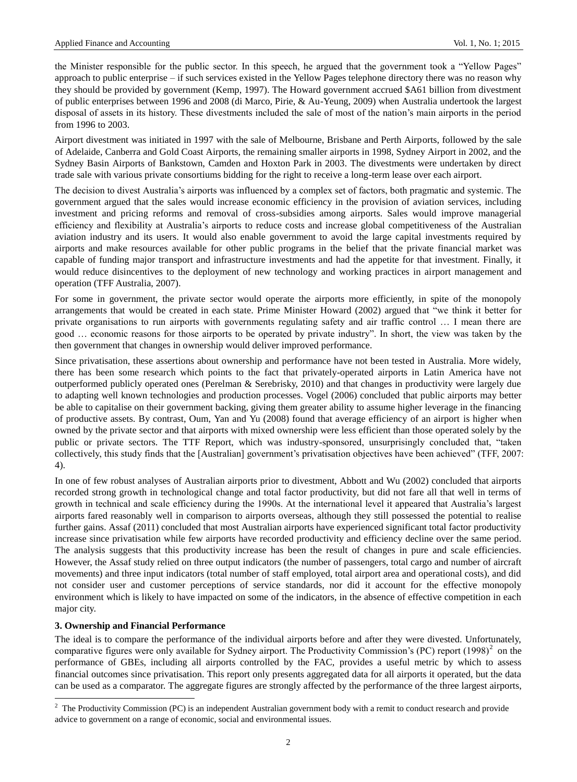the Minister responsible for the public sector. In this speech, he argued that the government took a "Yellow Pages" approach to public enterprise – if such services existed in the Yellow Pages telephone directory there was no reason why they should be provided by government (Kemp, 1997). The Howard government accrued \$A61 billion from divestment of public enterprises between 1996 and 2008 (di Marco, Pirie, & Au-Yeung, 2009) when Australia undertook the largest disposal of assets in its history. These divestments included the sale of most of the nation"s main airports in the period from 1996 to 2003.

Airport divestment was initiated in 1997 with the sale of Melbourne, Brisbane and Perth Airports, followed by the sale of Adelaide, Canberra and Gold Coast Airports, the remaining smaller airports in 1998, Sydney Airport in 2002, and the Sydney Basin Airports of Bankstown, Camden and Hoxton Park in 2003. The divestments were undertaken by direct trade sale with various private consortiums bidding for the right to receive a long-term lease over each airport.

The decision to divest Australia"s airports was influenced by a complex set of factors, both pragmatic and systemic. The government argued that the sales would increase economic efficiency in the provision of aviation services, including investment and pricing reforms and removal of cross-subsidies among airports. Sales would improve managerial efficiency and flexibility at Australia"s airports to reduce costs and increase global competitiveness of the Australian aviation industry and its users. It would also enable government to avoid the large capital investments required by airports and make resources available for other public programs in the belief that the private financial market was capable of funding major transport and infrastructure investments and had the appetite for that investment. Finally, it would reduce disincentives to the deployment of new technology and working practices in airport management and operation (TFF Australia, 2007).

For some in government, the private sector would operate the airports more efficiently, in spite of the monopoly arrangements that would be created in each state. Prime Minister Howard (2002) argued that "we think it better for private organisations to run airports with governments regulating safety and air traffic control … I mean there are good … economic reasons for those airports to be operated by private industry". In short, the view was taken by the then government that changes in ownership would deliver improved performance.

Since privatisation, these assertions about ownership and performance have not been tested in Australia. More widely, there has been some research which points to the fact that privately-operated airports in Latin America have not outperformed publicly operated ones (Perelman & Serebrisky, 2010) and that changes in productivity were largely due to adapting well known technologies and production processes. Vogel (2006) concluded that public airports may better be able to capitalise on their government backing, giving them greater ability to assume higher leverage in the financing of productive assets. By contrast, Oum, Yan and Yu (2008) found that average efficiency of an airport is higher when owned by the private sector and that airports with mixed ownership were less efficient than those operated solely by the public or private sectors. The TTF Report, which was industry-sponsored, unsurprisingly concluded that, "taken collectively, this study finds that the [Australian] government"s privatisation objectives have been achieved" (TFF, 2007: 4).

In one of few robust analyses of Australian airports prior to divestment, Abbott and Wu (2002) concluded that airports recorded strong growth in technological change and total factor productivity, but did not fare all that well in terms of growth in technical and scale efficiency during the 1990s. At the international level it appeared that Australia"s largest airports fared reasonably well in comparison to airports overseas, although they still possessed the potential to realise further gains. Assaf (2011) concluded that most Australian airports have experienced significant total factor productivity increase since privatisation while few airports have recorded productivity and efficiency decline over the same period. The analysis suggests that this productivity increase has been the result of changes in pure and scale efficiencies. However, the Assaf study relied on three output indicators (the number of passengers, total cargo and number of aircraft movements) and three input indicators (total number of staff employed, total airport area and operational costs), and did not consider user and customer perceptions of service standards, nor did it account for the effective monopoly environment which is likely to have impacted on some of the indicators, in the absence of effective competition in each major city.

# **3. Ownership and Financial Performance**

1

The ideal is to compare the performance of the individual airports before and after they were divested. Unfortunately, comparative figures were only available for Sydney airport. The Productivity Commission's (PC) report  $(1998)^2$  on the performance of GBEs, including all airports controlled by the FAC, provides a useful metric by which to assess financial outcomes since privatisation. This report only presents aggregated data for all airports it operated, but the data can be used as a comparator. The aggregate figures are strongly affected by the performance of the three largest airports,

<sup>&</sup>lt;sup>2</sup> The Productivity Commission (PC) is an independent Australian government body with a remit to conduct research and provide advice to government on a range of economic, social and environmental issues.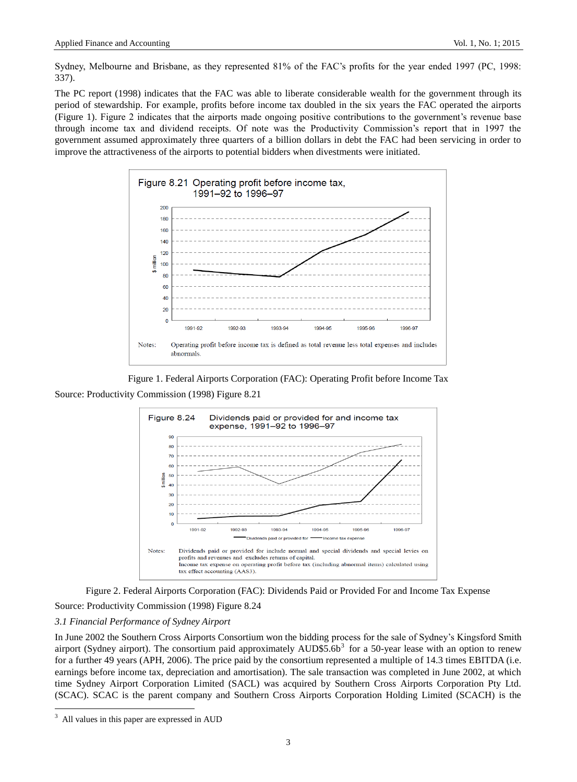Sydney, Melbourne and Brisbane, as they represented 81% of the FAC"s profits for the year ended 1997 (PC, 1998: 337).

The PC report (1998) indicates that the FAC was able to liberate considerable wealth for the government through its period of stewardship. For example, profits before income tax doubled in the six years the FAC operated the airports (Figure 1). Figure 2 indicates that the airports made ongoing positive contributions to the government"s revenue base through income tax and dividend receipts. Of note was the Productivity Commission"s report that in 1997 the government assumed approximately three quarters of a billion dollars in debt the FAC had been servicing in order to improve the attractiveness of the airports to potential bidders when divestments were initiated.







Figure 2. Federal Airports Corporation (FAC): Dividends Paid or Provided For and Income Tax Expense Source: Productivity Commission (1998) Figure 8.24

### *3.1 Financial Performance of Sydney Airport*

In June 2002 the Southern Cross Airports Consortium won the bidding process for the sale of Sydney"s Kingsford Smith airport (Sydney airport). The consortium paid approximately AUD\$5.6b<sup>3</sup> for a 50-year lease with an option to renew for a further 49 years (APH, 2006). The price paid by the consortium represented a multiple of 14.3 times EBITDA (i.e. earnings before income tax, depreciation and amortisation). The sale transaction was completed in June 2002, at which time Sydney Airport Corporation Limited (SACL) was acquired by Southern Cross Airports Corporation Pty Ltd. (SCAC). SCAC is the parent company and Southern Cross Airports Corporation Holding Limited (SCACH) is the

1

All values in this paper are expressed in AUD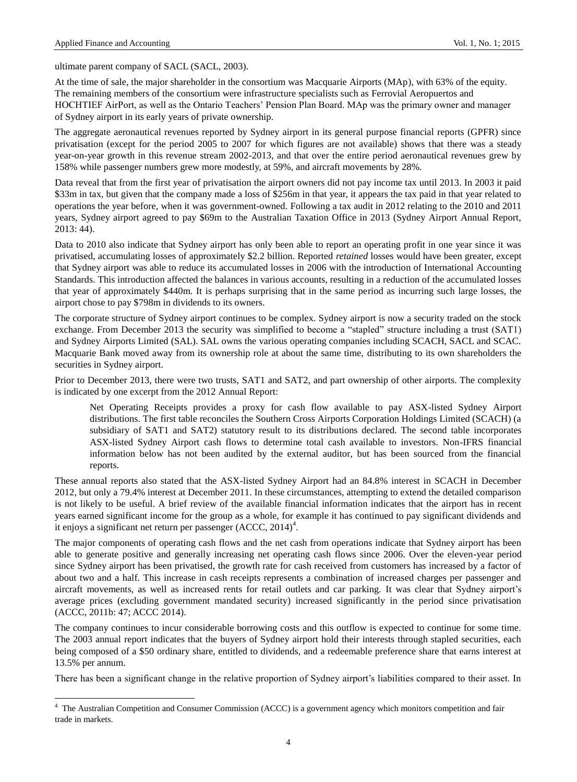1

ultimate parent company of SACL (SACL, 2003).

At the time of sale, the major shareholder in the consortium was Macquarie Airports (MAp), with 63% of the equity. The remaining members of the consortium were infrastructure specialists such as Ferrovial Aeropuertos and HOCHTIEF AirPort, as well as the Ontario Teachers" Pension Plan Board. MAp was the primary owner and manager of Sydney airport in its early years of private ownership.

The aggregate aeronautical revenues reported by Sydney airport in its general purpose financial reports (GPFR) since privatisation (except for the period 2005 to 2007 for which figures are not available) shows that there was a steady year-on-year growth in this revenue stream 2002-2013, and that over the entire period aeronautical revenues grew by 158% while passenger numbers grew more modestly, at 59%, and aircraft movements by 28%.

Data reveal that from the first year of privatisation the airport owners did not pay income tax until 2013. In 2003 it paid \$33m in tax, but given that the company made a loss of \$256m in that year, it appears the tax paid in that year related to operations the year before, when it was government-owned. Following a tax audit in 2012 relating to the 2010 and 2011 years, Sydney airport agreed to pay \$69m to the Australian Taxation Office in 2013 (Sydney Airport Annual Report, 2013: 44).

Data to 2010 also indicate that Sydney airport has only been able to report an operating profit in one year since it was privatised, accumulating losses of approximately \$2.2 billion. Reported *retained* losses would have been greater, except that Sydney airport was able to reduce its accumulated losses in 2006 with the introduction of International Accounting Standards. This introduction affected the balances in various accounts, resulting in a reduction of the accumulated losses that year of approximately \$440m. It is perhaps surprising that in the same period as incurring such large losses, the airport chose to pay \$798m in dividends to its owners.

The corporate structure of Sydney airport continues to be complex. Sydney airport is now a security traded on the stock exchange. From December 2013 the security was simplified to become a "stapled" structure including a trust (SAT1) and Sydney Airports Limited (SAL). SAL owns the various operating companies including SCACH, SACL and SCAC. Macquarie Bank moved away from its ownership role at about the same time, distributing to its own shareholders the securities in Sydney airport.

Prior to December 2013, there were two trusts, SAT1 and SAT2, and part ownership of other airports. The complexity is indicated by one excerpt from the 2012 Annual Report:

Net Operating Receipts provides a proxy for cash flow available to pay ASX-listed Sydney Airport distributions. The first table reconciles the Southern Cross Airports Corporation Holdings Limited (SCACH) (a subsidiary of SAT1 and SAT2) statutory result to its distributions declared. The second table incorporates ASX-listed Sydney Airport cash flows to determine total cash available to investors. Non-IFRS financial information below has not been audited by the external auditor, but has been sourced from the financial reports.

These annual reports also stated that the ASX-listed Sydney Airport had an 84.8% interest in SCACH in December 2012, but only a 79.4% interest at December 2011. In these circumstances, attempting to extend the detailed comparison is not likely to be useful. A brief review of the available financial information indicates that the airport has in recent years earned significant income for the group as a whole, for example it has continued to pay significant dividends and it enjoys a significant net return per passenger  $(ACCC, 2014)^4$ .

The major components of operating cash flows and the net cash from operations indicate that Sydney airport has been able to generate positive and generally increasing net operating cash flows since 2006. Over the eleven-year period since Sydney airport has been privatised, the growth rate for cash received from customers has increased by a factor of about two and a half. This increase in cash receipts represents a combination of increased charges per passenger and aircraft movements, as well as increased rents for retail outlets and car parking. It was clear that Sydney airport"s average prices (excluding government mandated security) increased significantly in the period since privatisation (ACCC, 2011b: 47; ACCC 2014).

The company continues to incur considerable borrowing costs and this outflow is expected to continue for some time. The 2003 annual report indicates that the buyers of Sydney airport hold their interests through stapled securities, each being composed of a \$50 ordinary share, entitled to dividends, and a redeemable preference share that earns interest at 13.5% per annum.

There has been a significant change in the relative proportion of Sydney airport's liabilities compared to their asset. In

<sup>&</sup>lt;sup>4</sup> The Australian Competition and Consumer Commission (ACCC) is a government agency which monitors competition and fair trade in markets.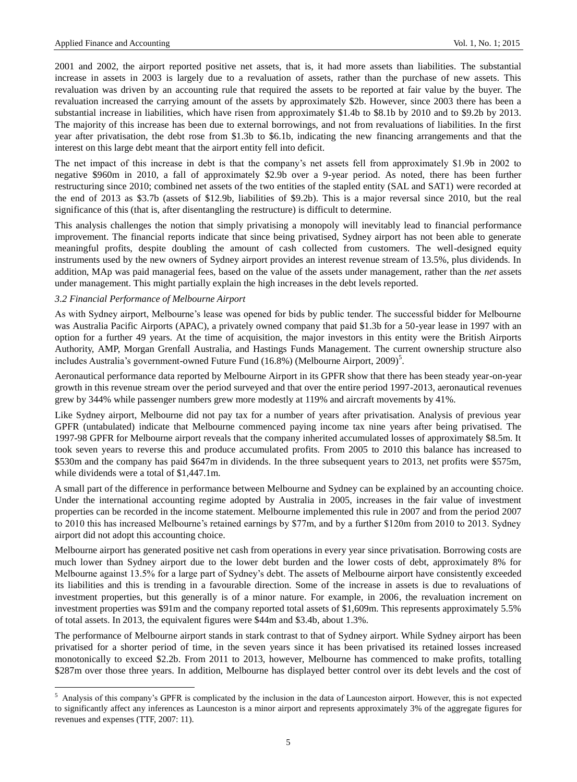2001 and 2002, the airport reported positive net assets, that is, it had more assets than liabilities. The substantial increase in assets in 2003 is largely due to a revaluation of assets, rather than the purchase of new assets. This revaluation was driven by an accounting rule that required the assets to be reported at fair value by the buyer. The revaluation increased the carrying amount of the assets by approximately \$2b. However, since 2003 there has been a substantial increase in liabilities, which have risen from approximately \$1.4b to \$8.1b by 2010 and to \$9.2b by 2013. The majority of this increase has been due to external borrowings, and not from revaluations of liabilities. In the first year after privatisation, the debt rose from \$1.3b to \$6.1b, indicating the new financing arrangements and that the interest on this large debt meant that the airport entity fell into deficit.

The net impact of this increase in debt is that the company's net assets fell from approximately \$1.9b in 2002 to negative \$960m in 2010, a fall of approximately \$2.9b over a 9-year period. As noted, there has been further restructuring since 2010; combined net assets of the two entities of the stapled entity (SAL and SAT1) were recorded at the end of 2013 as \$3.7b (assets of \$12.9b, liabilities of \$9.2b). This is a major reversal since 2010, but the real significance of this (that is, after disentangling the restructure) is difficult to determine.

This analysis challenges the notion that simply privatising a monopoly will inevitably lead to financial performance improvement. The financial reports indicate that since being privatised, Sydney airport has not been able to generate meaningful profits, despite doubling the amount of cash collected from customers. The well-designed equity instruments used by the new owners of Sydney airport provides an interest revenue stream of 13.5%, plus dividends. In addition, MAp was paid managerial fees, based on the value of the assets under management, rather than the *net* assets under management. This might partially explain the high increases in the debt levels reported.

#### *3.2 Financial Performance of Melbourne Airport*

1

As with Sydney airport, Melbourne's lease was opened for bids by public tender. The successful bidder for Melbourne was Australia Pacific Airports (APAC), a privately owned company that paid \$1.3b for a 50-year lease in 1997 with an option for a further 49 years. At the time of acquisition, the major investors in this entity were the British Airports Authority, AMP, Morgan Grenfall Australia, and Hastings Funds Management. The current ownership structure also includes Australia's government-owned Future Fund (16.8%) (Melbourne Airport, 2009)<sup>5</sup>.

Aeronautical performance data reported by Melbourne Airport in its GPFR show that there has been steady year-on-year growth in this revenue stream over the period surveyed and that over the entire period 1997-2013, aeronautical revenues grew by 344% while passenger numbers grew more modestly at 119% and aircraft movements by 41%.

Like Sydney airport, Melbourne did not pay tax for a number of years after privatisation. Analysis of previous year GPFR (untabulated) indicate that Melbourne commenced paying income tax nine years after being privatised. The 1997-98 GPFR for Melbourne airport reveals that the company inherited accumulated losses of approximately \$8.5m. It took seven years to reverse this and produce accumulated profits. From 2005 to 2010 this balance has increased to \$530m and the company has paid \$647m in dividends. In the three subsequent years to 2013, net profits were \$575m, while dividends were a total of \$1,447.1m.

A small part of the difference in performance between Melbourne and Sydney can be explained by an accounting choice. Under the international accounting regime adopted by Australia in 2005, increases in the fair value of investment properties can be recorded in the income statement. Melbourne implemented this rule in 2007 and from the period 2007 to 2010 this has increased Melbourne's retained earnings by \$77m, and by a further \$120m from 2010 to 2013. Sydney airport did not adopt this accounting choice.

Melbourne airport has generated positive net cash from operations in every year since privatisation. Borrowing costs are much lower than Sydney airport due to the lower debt burden and the lower costs of debt, approximately 8% for Melbourne against 13.5% for a large part of Sydney"s debt. The assets of Melbourne airport have consistently exceeded its liabilities and this is trending in a favourable direction. Some of the increase in assets is due to revaluations of investment properties, but this generally is of a minor nature. For example, in 2006, the revaluation increment on investment properties was \$91m and the company reported total assets of \$1,609m. This represents approximately 5.5% of total assets. In 2013, the equivalent figures were \$44m and \$3.4b, about 1.3%.

The performance of Melbourne airport stands in stark contrast to that of Sydney airport. While Sydney airport has been privatised for a shorter period of time, in the seven years since it has been privatised its retained losses increased monotonically to exceed \$2.2b. From 2011 to 2013, however, Melbourne has commenced to make profits, totalling \$287m over those three years. In addition, Melbourne has displayed better control over its debt levels and the cost of

<sup>&</sup>lt;sup>5</sup> Analysis of this company's GPFR is complicated by the inclusion in the data of Launceston airport. However, this is not expected to significantly affect any inferences as Launceston is a minor airport and represents approximately 3% of the aggregate figures for revenues and expenses (TTF, 2007: 11).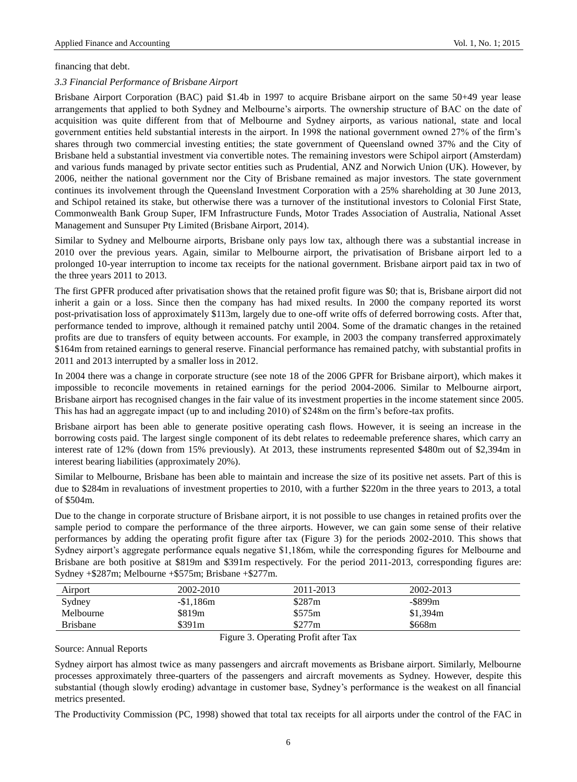### financing that debt.

## *3.3 Financial Performance of Brisbane Airport*

Brisbane Airport Corporation (BAC) paid \$1.4b in 1997 to acquire Brisbane airport on the same 50+49 year lease arrangements that applied to both Sydney and Melbourne"s airports. The ownership structure of BAC on the date of acquisition was quite different from that of Melbourne and Sydney airports, as various national, state and local government entities held substantial interests in the airport. In 1998 the national government owned 27% of the firm"s shares through two commercial investing entities; the state government of Queensland owned 37% and the City of Brisbane held a substantial investment via convertible notes. The remaining investors were Schipol airport (Amsterdam) and various funds managed by private sector entities such as Prudential, ANZ and Norwich Union (UK). However, by 2006, neither the national government nor the City of Brisbane remained as major investors. The state government continues its involvement through the Queensland Investment Corporation with a 25% shareholding at 30 June 2013, and Schipol retained its stake, but otherwise there was a turnover of the institutional investors to Colonial First State, Commonwealth Bank Group Super, IFM Infrastructure Funds, Motor Trades Association of Australia, National Asset Management and Sunsuper Pty Limited (Brisbane Airport, 2014).

Similar to Sydney and Melbourne airports, Brisbane only pays low tax, although there was a substantial increase in 2010 over the previous years. Again, similar to Melbourne airport, the privatisation of Brisbane airport led to a prolonged 10-year interruption to income tax receipts for the national government. Brisbane airport paid tax in two of the three years 2011 to 2013.

The first GPFR produced after privatisation shows that the retained profit figure was \$0; that is, Brisbane airport did not inherit a gain or a loss. Since then the company has had mixed results. In 2000 the company reported its worst post-privatisation loss of approximately \$113m, largely due to one-off write offs of deferred borrowing costs. After that, performance tended to improve, although it remained patchy until 2004. Some of the dramatic changes in the retained profits are due to transfers of equity between accounts. For example, in 2003 the company transferred approximately \$164m from retained earnings to general reserve. Financial performance has remained patchy, with substantial profits in 2011 and 2013 interrupted by a smaller loss in 2012.

In 2004 there was a change in corporate structure (see note 18 of the 2006 GPFR for Brisbane airport), which makes it impossible to reconcile movements in retained earnings for the period 2004-2006. Similar to Melbourne airport, Brisbane airport has recognised changes in the fair value of its investment properties in the income statement since 2005. This has had an aggregate impact (up to and including 2010) of \$248m on the firm"s before-tax profits.

Brisbane airport has been able to generate positive operating cash flows. However, it is seeing an increase in the borrowing costs paid. The largest single component of its debt relates to redeemable preference shares, which carry an interest rate of 12% (down from 15% previously). At 2013, these instruments represented \$480m out of \$2,394m in interest bearing liabilities (approximately 20%).

Similar to Melbourne, Brisbane has been able to maintain and increase the size of its positive net assets. Part of this is due to \$284m in revaluations of investment properties to 2010, with a further \$220m in the three years to 2013, a total of \$504m.

Due to the change in corporate structure of Brisbane airport, it is not possible to use changes in retained profits over the sample period to compare the performance of the three airports. However, we can gain some sense of their relative performances by adding the operating profit figure after tax (Figure 3) for the periods 2002-2010. This shows that Sydney airport's aggregate performance equals negative \$1,186m, while the corresponding figures for Melbourne and Brisbane are both positive at \$819m and \$391m respectively. For the period 2011-2013, corresponding figures are: Sydney +\$287m; Melbourne +\$575m; Brisbane +\$277m.

| Airport         | 2002-2010  | 2011-2013 | 2002-2013 |  |
|-----------------|------------|-----------|-----------|--|
| Sydney          | $-$1,186m$ | \$287m    | -\$899m   |  |
| Melbourne       | \$819m     | \$575m    | \$1,394m  |  |
| <b>Brisbane</b> | \$391m     | \$277m    | \$668m    |  |

Figure 3. Operating Profit after Tax

Source: Annual Reports

Sydney airport has almost twice as many passengers and aircraft movements as Brisbane airport. Similarly, Melbourne processes approximately three-quarters of the passengers and aircraft movements as Sydney. However, despite this substantial (though slowly eroding) advantage in customer base, Sydney"s performance is the weakest on all financial metrics presented.

The Productivity Commission (PC, 1998) showed that total tax receipts for all airports under the control of the FAC in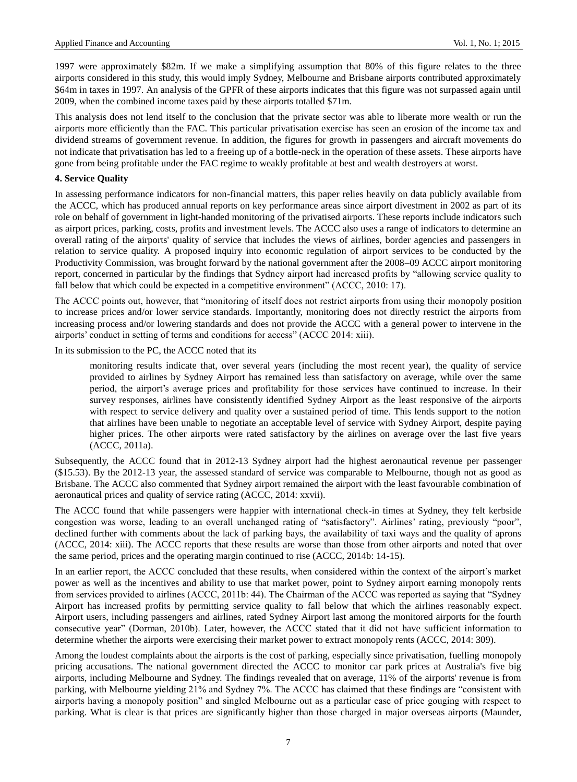1997 were approximately \$82m. If we make a simplifying assumption that 80% of this figure relates to the three airports considered in this study, this would imply Sydney, Melbourne and Brisbane airports contributed approximately \$64m in taxes in 1997. An analysis of the GPFR of these airports indicates that this figure was not surpassed again until 2009, when the combined income taxes paid by these airports totalled \$71m.

This analysis does not lend itself to the conclusion that the private sector was able to liberate more wealth or run the airports more efficiently than the FAC. This particular privatisation exercise has seen an erosion of the income tax and dividend streams of government revenue. In addition, the figures for growth in passengers and aircraft movements do not indicate that privatisation has led to a freeing up of a bottle-neck in the operation of these assets. These airports have gone from being profitable under the FAC regime to weakly profitable at best and wealth destroyers at worst.

# **4. Service Quality**

In assessing performance indicators for non-financial matters, this paper relies heavily on data publicly available from the ACCC, which has produced annual reports on key performance areas since airport divestment in 2002 as part of its role on behalf of government in light-handed monitoring of the privatised airports. These reports include indicators such as airport prices, parking, costs, profits and investment levels. The ACCC also uses a range of indicators to determine an overall rating of the airports' quality of service that includes the views of airlines, border agencies and passengers in relation to service quality. A proposed inquiry into economic regulation of airport services to be conducted by the Productivity Commission, was brought forward by the national government after the 2008–09 ACCC airport monitoring report, concerned in particular by the findings that Sydney airport had increased profits by "allowing service quality to fall below that which could be expected in a competitive environment" (ACCC, 2010: 17).

The ACCC points out, however, that "monitoring of itself does not restrict airports from using their monopoly position to increase prices and/or lower service standards. Importantly, monitoring does not directly restrict the airports from increasing process and/or lowering standards and does not provide the ACCC with a general power to intervene in the airports' conduct in setting of terms and conditions for access" (ACCC 2014: xiii).

In its submission to the PC, the ACCC noted that its

monitoring results indicate that, over several years (including the most recent year), the quality of service provided to airlines by Sydney Airport has remained less than satisfactory on average, while over the same period, the airport"s average prices and profitability for those services have continued to increase. In their survey responses, airlines have consistently identified Sydney Airport as the least responsive of the airports with respect to service delivery and quality over a sustained period of time. This lends support to the notion that airlines have been unable to negotiate an acceptable level of service with Sydney Airport, despite paying higher prices. The other airports were rated satisfactory by the airlines on average over the last five years (ACCC, 2011a).

Subsequently, the ACCC found that in 2012-13 Sydney airport had the highest aeronautical revenue per passenger (\$15.53). By the 2012-13 year, the assessed standard of service was comparable to Melbourne, though not as good as Brisbane. The ACCC also commented that Sydney airport remained the airport with the least favourable combination of aeronautical prices and quality of service rating (ACCC, 2014: xxvii).

The ACCC found that while passengers were happier with international check-in times at Sydney, they felt kerbside congestion was worse, leading to an overall unchanged rating of "satisfactory". Airlines' rating, previously "poor", declined further with comments about the lack of parking bays, the availability of taxi ways and the quality of aprons (ACCC, 2014: xiii). The ACCC reports that these results are worse than those from other airports and noted that over the same period, prices and the operating margin continued to rise (ACCC, 2014b: 14-15).

In an earlier report, the ACCC concluded that these results, when considered within the context of the airport"s market power as well as the incentives and ability to use that market power, point to Sydney airport earning monopoly rents from services provided to airlines (ACCC, 2011b: 44). The Chairman of the ACCC was reported as saying that "Sydney Airport has increased profits by permitting service quality to fall below that which the airlines reasonably expect. Airport users, including passengers and airlines, rated Sydney Airport last among the monitored airports for the fourth consecutive year" (Dorman, 2010b). Later, however, the ACCC stated that it did not have sufficient information to determine whether the airports were exercising their market power to extract monopoly rents (ACCC, 2014: 309).

Among the loudest complaints about the airports is the cost of parking, especially since privatisation, fuelling monopoly pricing accusations. The national government directed the ACCC to monitor car park prices at Australia's five big airports, including Melbourne and Sydney. The findings revealed that on average, 11% of the airports' revenue is from parking, with Melbourne yielding 21% and Sydney 7%. The ACCC has claimed that these findings are "consistent with airports having a monopoly position" and singled Melbourne out as a particular case of price gouging with respect to parking. What is clear is that prices are significantly higher than those charged in major overseas airports (Maunder,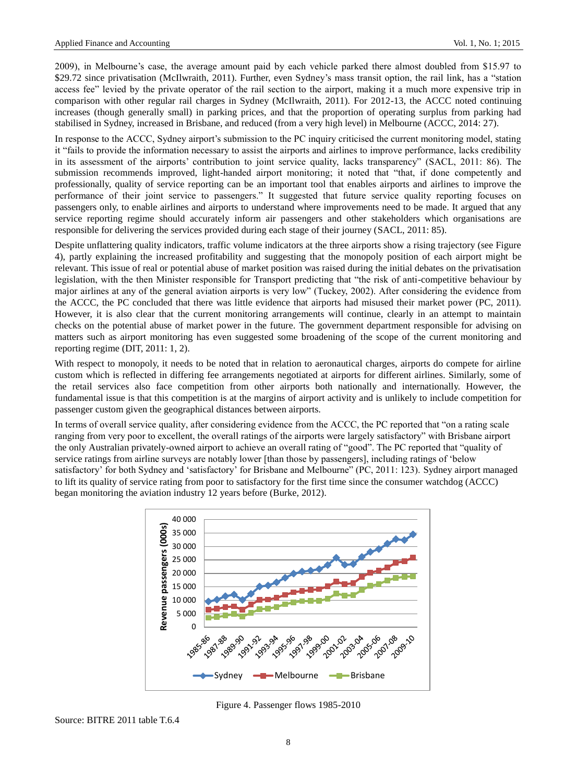2009), in Melbourne"s case, the average amount paid by each vehicle parked there almost doubled from \$15.97 to \$29.72 since privatisation (McIlwraith, 2011). Further, even Sydney"s mass transit option, the rail link, has a "station access fee" levied by the private operator of the rail section to the airport, making it a much more expensive trip in comparison with other regular rail charges in Sydney (McIlwraith, 2011). For 2012-13, the ACCC noted continuing increases (though generally small) in parking prices, and that the proportion of operating surplus from parking had stabilised in Sydney, increased in Brisbane, and reduced (from a very high level) in Melbourne (ACCC, 2014: 27).

In response to the ACCC, Sydney airport's submission to the PC inquiry criticised the current monitoring model, stating it "fails to provide the information necessary to assist the airports and airlines to improve performance, lacks credibility in its assessment of the airports' contribution to joint service quality, lacks transparency" (SACL, 2011: 86). The submission recommends improved, light-handed airport monitoring; it noted that "that, if done competently and professionally, quality of service reporting can be an important tool that enables airports and airlines to improve the performance of their joint service to passengers." It suggested that future service quality reporting focuses on passengers only, to enable airlines and airports to understand where improvements need to be made. It argued that any service reporting regime should accurately inform air passengers and other stakeholders which organisations are responsible for delivering the services provided during each stage of their journey (SACL, 2011: 85).

Despite unflattering quality indicators, traffic volume indicators at the three airports show a rising trajectory (see Figure 4), partly explaining the increased profitability and suggesting that the monopoly position of each airport might be relevant. This issue of real or potential abuse of market position was raised during the initial debates on the privatisation legislation, with the then Minister responsible for Transport predicting that "the risk of anti-competitive behaviour by major airlines at any of the general aviation airports is very low" (Tuckey, 2002). After considering the evidence from the ACCC, the PC concluded that there was little evidence that airports had misused their market power (PC, 2011). However, it is also clear that the current monitoring arrangements will continue, clearly in an attempt to maintain checks on the potential abuse of market power in the future. The government department responsible for advising on matters such as airport monitoring has even suggested some broadening of the scope of the current monitoring and reporting regime (DIT, 2011: 1, 2).

With respect to monopoly, it needs to be noted that in relation to aeronautical charges, airports do compete for airline custom which is reflected in differing fee arrangements negotiated at airports for different airlines. Similarly, some of the retail services also face competition from other airports both nationally and internationally. However, the fundamental issue is that this competition is at the margins of airport activity and is unlikely to include competition for passenger custom given the geographical distances between airports.

In terms of overall service quality, after considering evidence from the ACCC, the PC reported that "on a rating scale ranging from very poor to excellent, the overall ratings of the airports were largely satisfactory" with Brisbane airport the only Australian privately-owned airport to achieve an overall rating of "good". The PC reported that "quality of service ratings from airline surveys are notably lower [than those by passengers], including ratings of "below satisfactory" for both Sydney and "satisfactory" for Brisbane and Melbourne" (PC, 2011: 123). Sydney airport managed to lift its quality of service rating from poor to satisfactory for the first time since the consumer watchdog (ACCC) began monitoring the aviation industry 12 years before (Burke, 2012).



Figure 4. Passenger flows 1985-2010

Source: BITRE 2011 table T.6.4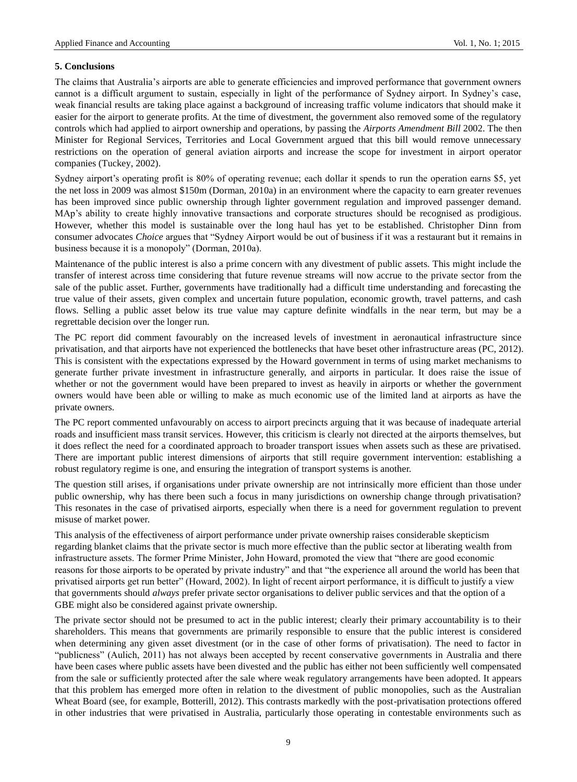# **5. Conclusions**

The claims that Australia"s airports are able to generate efficiencies and improved performance that government owners cannot is a difficult argument to sustain, especially in light of the performance of Sydney airport. In Sydney"s case, weak financial results are taking place against a background of increasing traffic volume indicators that should make it easier for the airport to generate profits. At the time of divestment, the government also removed some of the regulatory controls which had applied to airport ownership and operations, by passing the *Airports Amendment Bill* 2002. The then Minister for Regional Services, Territories and Local Government argued that this bill would remove unnecessary restrictions on the operation of general aviation airports and increase the scope for investment in airport operator companies (Tuckey, 2002).

Sydney airport's operating profit is 80% of operating revenue; each dollar it spends to run the operation earns \$5, yet the net loss in 2009 was almost \$150m (Dorman, 2010a) in an environment where the capacity to earn greater revenues has been improved since public ownership through lighter government regulation and improved passenger demand. MAp"s ability to create highly innovative transactions and corporate structures should be recognised as prodigious. However, whether this model is sustainable over the long haul has yet to be established. Christopher Dinn from consumer advocates *Choice* argues that "Sydney Airport would be out of business if it was a restaurant but it remains in business because it is a monopoly" (Dorman, 2010a).

Maintenance of the public interest is also a prime concern with any divestment of public assets. This might include the transfer of interest across time considering that future revenue streams will now accrue to the private sector from the sale of the public asset. Further, governments have traditionally had a difficult time understanding and forecasting the true value of their assets, given complex and uncertain future population, economic growth, travel patterns, and cash flows. Selling a public asset below its true value may capture definite windfalls in the near term, but may be a regrettable decision over the longer run.

The PC report did comment favourably on the increased levels of investment in aeronautical infrastructure since privatisation, and that airports have not experienced the bottlenecks that have beset other infrastructure areas (PC, 2012). This is consistent with the expectations expressed by the Howard government in terms of using market mechanisms to generate further private investment in infrastructure generally, and airports in particular. It does raise the issue of whether or not the government would have been prepared to invest as heavily in airports or whether the government owners would have been able or willing to make as much economic use of the limited land at airports as have the private owners.

The PC report commented unfavourably on access to airport precincts arguing that it was because of inadequate arterial roads and insufficient mass transit services. However, this criticism is clearly not directed at the airports themselves, but it does reflect the need for a coordinated approach to broader transport issues when assets such as these are privatised. There are important public interest dimensions of airports that still require government intervention: establishing a robust regulatory regime is one, and ensuring the integration of transport systems is another.

The question still arises, if organisations under private ownership are not intrinsically more efficient than those under public ownership, why has there been such a focus in many jurisdictions on ownership change through privatisation? This resonates in the case of privatised airports, especially when there is a need for government regulation to prevent misuse of market power.

This analysis of the effectiveness of airport performance under private ownership raises considerable skepticism regarding blanket claims that the private sector is much more effective than the public sector at liberating wealth from infrastructure assets. The former Prime Minister, John Howard, promoted the view that "there are good economic reasons for those airports to be operated by private industry" and that "the experience all around the world has been that privatised airports get run better" (Howard, 2002). In light of recent airport performance, it is difficult to justify a view that governments should *always* prefer private sector organisations to deliver public services and that the option of a GBE might also be considered against private ownership.

The private sector should not be presumed to act in the public interest; clearly their primary accountability is to their shareholders. This means that governments are primarily responsible to ensure that the public interest is considered when determining any given asset divestment (or in the case of other forms of privatisation). The need to factor in "publicness" (Aulich, 2011) has not always been accepted by recent conservative governments in Australia and there have been cases where public assets have been divested and the public has either not been sufficiently well compensated from the sale or sufficiently protected after the sale where weak regulatory arrangements have been adopted. It appears that this problem has emerged more often in relation to the divestment of public monopolies, such as the Australian Wheat Board (see, for example, Botterill, 2012). This contrasts markedly with the post-privatisation protections offered in other industries that were privatised in Australia, particularly those operating in contestable environments such as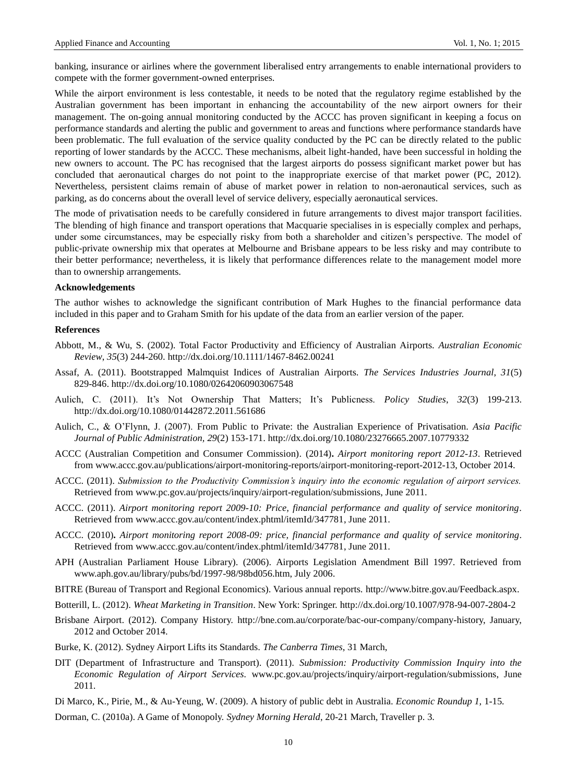banking, insurance or airlines where the government liberalised entry arrangements to enable international providers to compete with the former government-owned enterprises.

While the airport environment is less contestable, it needs to be noted that the regulatory regime established by the Australian government has been important in enhancing the accountability of the new airport owners for their management. The on-going annual monitoring conducted by the ACCC has proven significant in keeping a focus on performance standards and alerting the public and government to areas and functions where performance standards have been problematic. The full evaluation of the service quality conducted by the PC can be directly related to the public reporting of lower standards by the ACCC. These mechanisms, albeit light-handed, have been successful in holding the new owners to account. The PC has recognised that the largest airports do possess significant market power but has concluded that aeronautical charges do not point to the inappropriate exercise of that market power (PC, 2012). Nevertheless, persistent claims remain of abuse of market power in relation to non-aeronautical services, such as parking, as do concerns about the overall level of service delivery, especially aeronautical services.

The mode of privatisation needs to be carefully considered in future arrangements to divest major transport facilities. The blending of high finance and transport operations that Macquarie specialises in is especially complex and perhaps, under some circumstances, may be especially risky from both a shareholder and citizen"s perspective. The model of public-private ownership mix that operates at Melbourne and Brisbane appears to be less risky and may contribute to their better performance; nevertheless, it is likely that performance differences relate to the management model more than to ownership arrangements.

#### **Acknowledgements**

The author wishes to acknowledge the significant contribution of Mark Hughes to the financial performance data included in this paper and to Graham Smith for his update of the data from an earlier version of the paper.

#### **References**

- Abbott, M., & Wu, S. (2002). Total Factor Productivity and Efficiency of Australian Airports. *Australian Economic Review*, *35*(3) 244-260. http://dx.doi.org/10.1111/1467-8462.00241
- Assaf, A. (2011). Bootstrapped Malmquist Indices of Australian Airports. *The Services Industries Journal*, *31*(5) 829-846. http://dx.doi.org/10.1080/02642060903067548
- Aulich, C. (2011). It's Not Ownership That Matters; It's Publicness. *Policy Studies*, 32(3) 199-213. http://dx.doi.org/10.1080/01442872.2011.561686
- Aulich, C., & O"Flynn, J. (2007). From Public to Private: the Australian Experience of Privatisation. *Asia Pacific Journal of Public Administration, 29*(2) 153-171. http://dx.doi.org/10.1080/23276665.2007.10779332
- ACCC (Australian Competition and Consumer Commission). (2014)**.** *Airport monitoring report 2012-13*. Retrieved fro[m www.accc.gov.au/publications/airport-monitoring-reports/airport-monitoring-report-2012-13,](https://www.accc.gov.au/publications/airport-monitoring-reports/airport-monitoring-report-2012-13) October 2014.
- ACCC. (2011). *Submission to the Productivity Commission's inquiry into the economic regulation of airport services.*  Retrieved from [www.pc.gov.au/projects/inquiry/airport-regulation/submissions,](http://www.pc.gov.au/projects/inquiry/airport-regulation/submissions) June 2011.
- ACCC. (2011). *Airport monitoring report 2009-10: Price, financial performance and quality of service monitoring*. Retrieved from [www.accc.gov.au/content/index.phtml/itemId/347781,](http://www.accc.gov.au/content/index.phtml/itemId/347781) June 2011.
- ACCC. (2010)**.** *Airport monitoring report 2008-09: price, financial performance and quality of service monitoring*. Retrieved from [www.accc.gov.au/content/index.phtml/itemId/347781,](http://www.accc.gov.au/content/index.phtml/itemId/347781) June 2011.
- APH (Australian Parliament House Library). (2006). Airports Legislation Amendment Bill 1997. Retrieved from [www.aph.gov.au/library/pubs/bd/1997-98/98bd056.htm,](http://www.aph.gov.au/library/pubs/bd/1997-98/98bd056.htm) July 2006.
- BITRE (Bureau of Transport and Regional Economics). Various annual reports. [http://www.bitre.gov.au/Feedback.aspx.](http://www.bitre.gov.au/Feedback.aspx)
- Botterill, L. (2012). *Wheat Marketing in Transition*. New York: Springer. http://dx.doi.org/10.1007/978-94-007-2804-2
- Brisbane Airport. (2012). Company History. [http://bne.com.au/corporate/bac-our-company/company-history,](http://bne.com.au/corporate/bac-our-company/company-history) January, 2012 and October 2014.
- Burke, K. (2012). Sydney Airport Lifts its Standards. *The Canberra Times*, 31 March,
- DIT (Department of Infrastructure and Transport). (2011). *Submission: Productivity Commission Inquiry into the Economic Regulation of Airport Services.* [www.pc.gov.au/projects/inquiry/airport-regulation/submissions,](http://www.pc.gov.au/projects/inquiry/airport-regulation/submissions) June 2011.
- Di Marco, K.*,* Pirie, M., & Au-Yeung, W. (2009). A history of public debt in Australia. *Economic Roundup 1,* 1*-*15*.*
- Dorman, C. (2010a). A Game of Monopoly. *Sydney Morning Herald*, 20-21 March, Traveller p. 3.